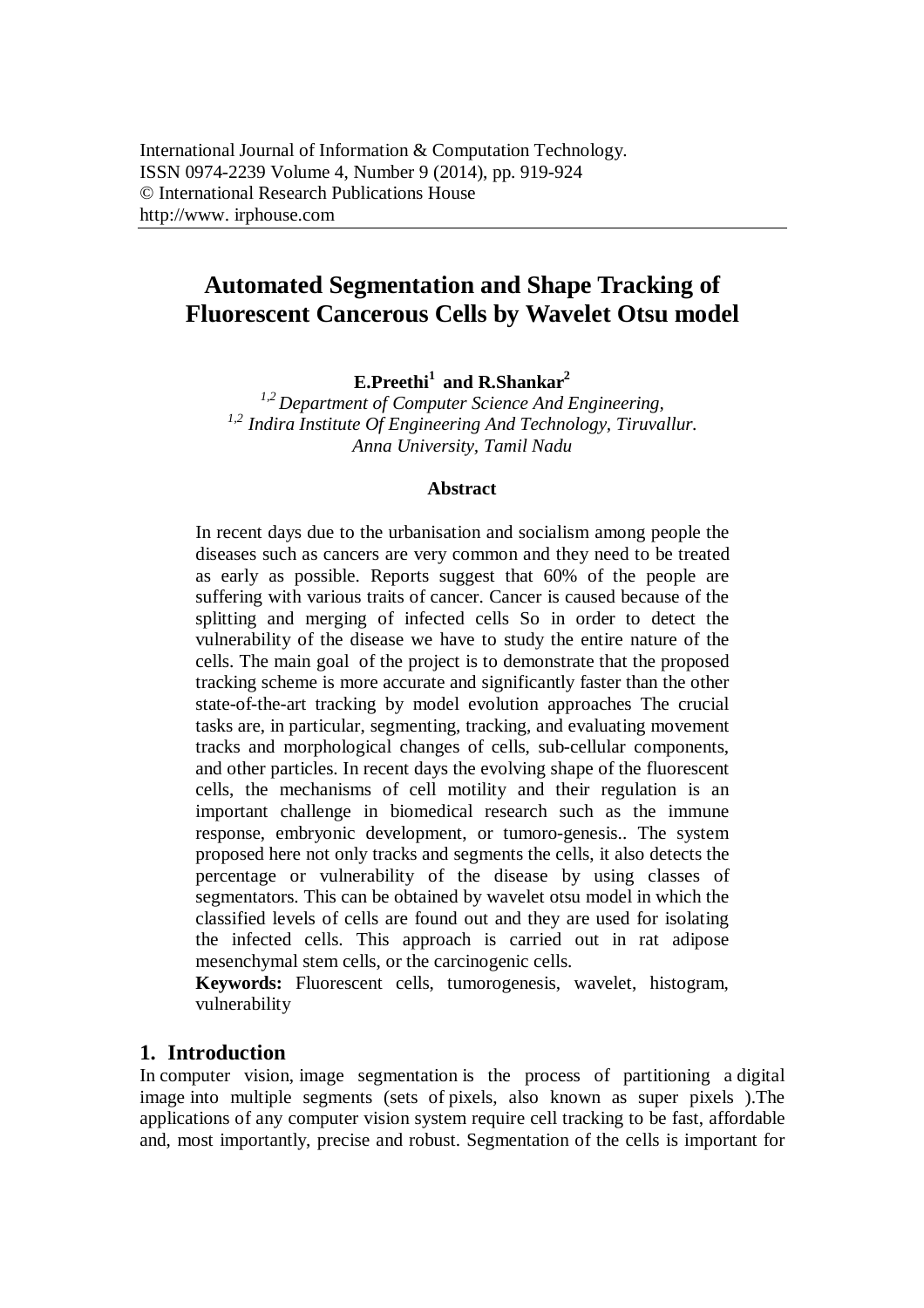# **Automated Segmentation and Shape Tracking of Fluorescent Cancerous Cells by Wavelet Otsu model**

**E.Preethi<sup>1</sup> and R.Shankar<sup>2</sup>**

*1,2 Department of Computer Science And Engineering, 1,2 Indira Institute Of Engineering And Technology, Tiruvallur. Anna University, Tamil Nadu*

### **Abstract**

In recent days due to the urbanisation and socialism among people the diseases such as cancers are very common and they need to be treated as early as possible. Reports suggest that 60% of the people are suffering with various traits of cancer. Cancer is caused because of the splitting and merging of infected cells So in order to detect the vulnerability of the disease we have to study the entire nature of the cells. The main goal of the project is to demonstrate that the proposed tracking scheme is more accurate and significantly faster than the other state-of-the-art tracking by model evolution approaches The crucial tasks are, in particular, segmenting, tracking, and evaluating movement tracks and morphological changes of cells, sub-cellular components, and other particles. In recent days the evolving shape of the fluorescent cells, the mechanisms of cell motility and their regulation is an important challenge in biomedical research such as the immune response, embryonic development, or tumoro-genesis.. The system proposed here not only tracks and segments the cells, it also detects the percentage or vulnerability of the disease by using classes of segmentators. This can be obtained by wavelet otsu model in which the classified levels of cells are found out and they are used for isolating the infected cells. This approach is carried out in rat adipose mesenchymal stem cells, or the carcinogenic cells.

**Keywords:** Fluorescent cells, tumorogenesis, wavelet, histogram, vulnerability

## **1. Introduction**

In computer vision, image segmentation is the process of partitioning a digital image into multiple segments (sets of pixels, also known as super pixels ).The applications of any computer vision system require cell tracking to be fast, affordable and, most importantly, precise and robust. Segmentation of the cells is important for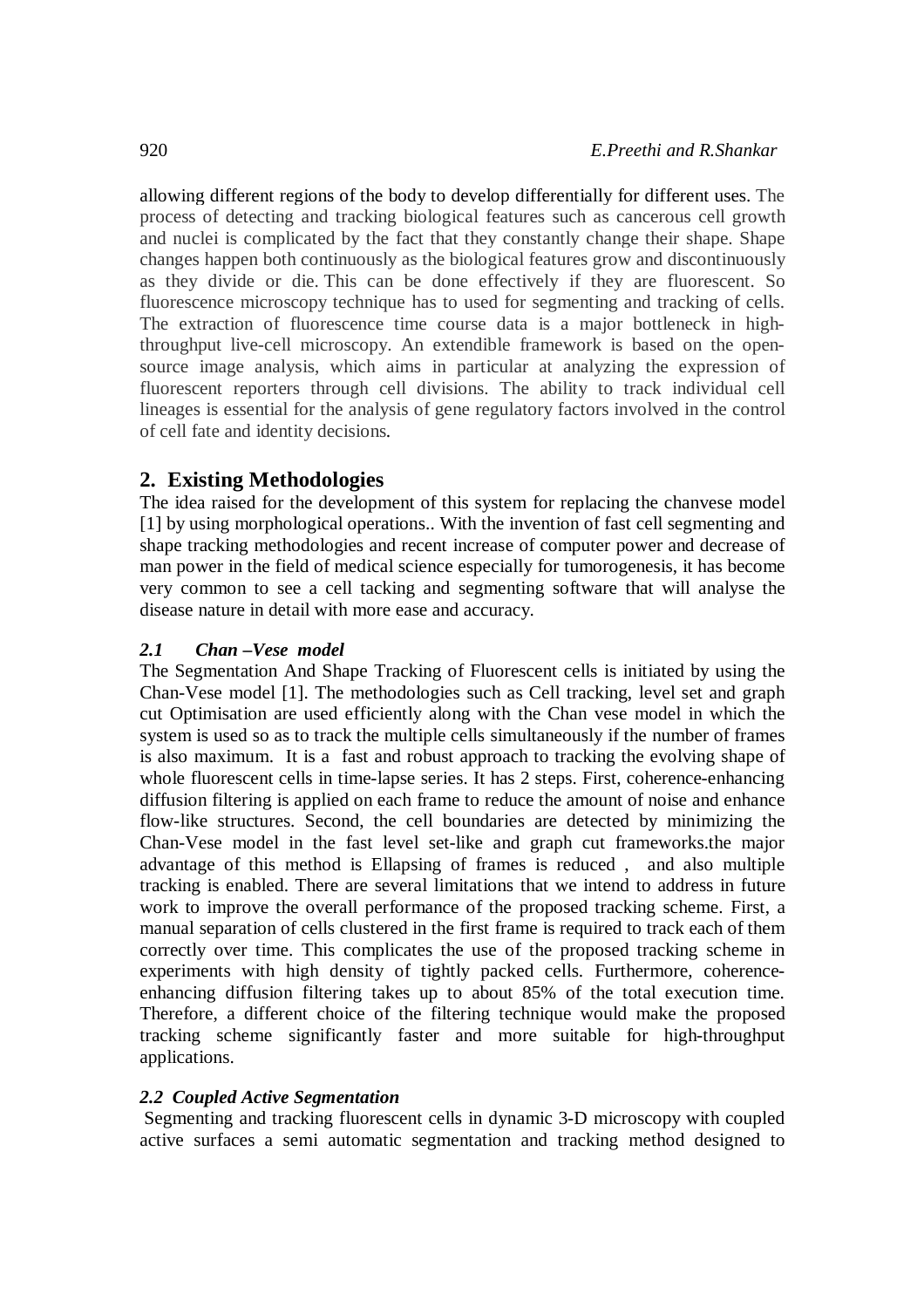allowing different regions of the body to develop differentially for different uses. The process of detecting and tracking biological features such as cancerous cell growth and nuclei is complicated by the fact that they constantly change their shape. Shape changes happen both continuously as the biological features grow and discontinuously as they divide or die. This can be done effectively if they are fluorescent. So fluorescence microscopy technique has to used for segmenting and tracking of cells. The extraction of fluorescence time course data is a major bottleneck in highthroughput live-cell microscopy. An extendible framework is based on the opensource image analysis, which aims in particular at analyzing the expression of fluorescent reporters through cell divisions. The ability to track individual cell lineages is essential for the analysis of gene regulatory factors involved in the control of cell fate and identity decisions.

# **2. Existing Methodologies**

The idea raised for the development of this system for replacing the chanvese model [1] by using morphological operations.. With the invention of fast cell segmenting and shape tracking methodologies and recent increase of computer power and decrease of man power in the field of medical science especially for tumorogenesis, it has become very common to see a cell tacking and segmenting software that will analyse the disease nature in detail with more ease and accuracy.

## *2.1 Chan –Vese model*

The Segmentation And Shape Tracking of Fluorescent cells is initiated by using the Chan-Vese model [1]. The methodologies such as Cell tracking, level set and graph cut Optimisation are used efficiently along with the Chan vese model in which the system is used so as to track the multiple cells simultaneously if the number of frames is also maximum. It is a fast and robust approach to tracking the evolving shape of whole fluorescent cells in time-lapse series. It has 2 steps. First, coherence-enhancing diffusion filtering is applied on each frame to reduce the amount of noise and enhance flow-like structures. Second, the cell boundaries are detected by minimizing the Chan-Vese model in the fast level set-like and graph cut frameworks.the major advantage of this method is Ellapsing of frames is reduced , and also multiple tracking is enabled. There are several limitations that we intend to address in future work to improve the overall performance of the proposed tracking scheme. First, a manual separation of cells clustered in the first frame is required to track each of them correctly over time. This complicates the use of the proposed tracking scheme in experiments with high density of tightly packed cells. Furthermore, coherenceenhancing diffusion filtering takes up to about 85% of the total execution time. Therefore, a different choice of the filtering technique would make the proposed tracking scheme significantly faster and more suitable for high-throughput applications.

### *2.2 Coupled Active Segmentation*

Segmenting and tracking fluorescent cells in dynamic 3-D microscopy with coupled active surfaces a semi automatic segmentation and tracking method designed to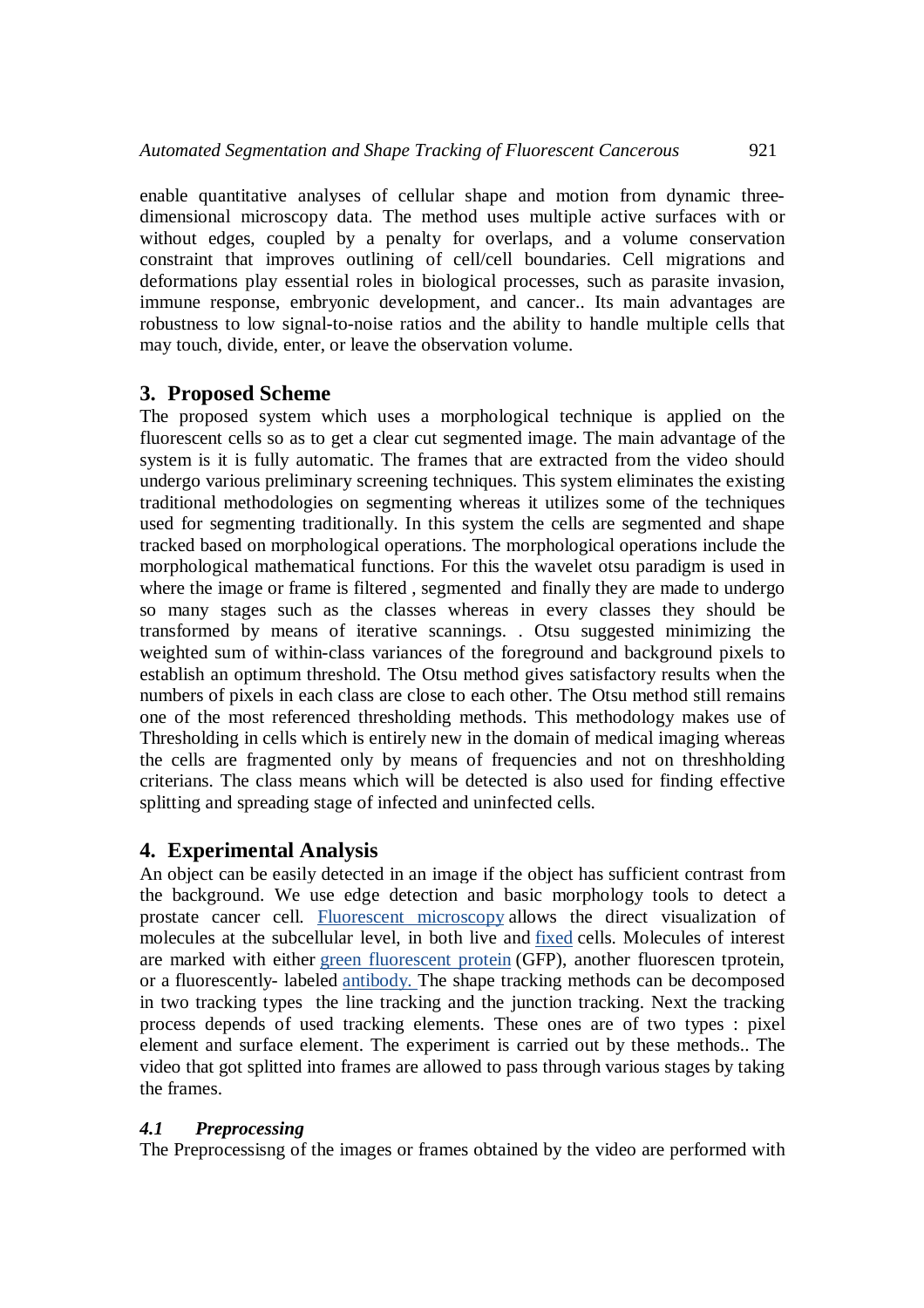enable quantitative analyses of cellular shape and motion from dynamic threedimensional microscopy data. The method uses multiple active surfaces with or without edges, coupled by a penalty for overlaps, and a volume conservation constraint that improves outlining of cell/cell boundaries. Cell migrations and deformations play essential roles in biological processes, such as parasite invasion, immune response, embryonic development, and cancer.. Its main advantages are robustness to low signal-to-noise ratios and the ability to handle multiple cells that may touch, divide, enter, or leave the observation volume.

## **3. Proposed Scheme**

The proposed system which uses a morphological technique is applied on the fluorescent cells so as to get a clear cut segmented image. The main advantage of the system is it is fully automatic. The frames that are extracted from the video should undergo various preliminary screening techniques. This system eliminates the existing traditional methodologies on segmenting whereas it utilizes some of the techniques used for segmenting traditionally. In this system the cells are segmented and shape tracked based on morphological operations. The morphological operations include the morphological mathematical functions. For this the wavelet otsu paradigm is used in where the image or frame is filtered , segmented and finally they are made to undergo so many stages such as the classes whereas in every classes they should be transformed by means of iterative scannings. . Otsu suggested minimizing the weighted sum of within-class variances of the foreground and background pixels to establish an optimum threshold. The Otsu method gives satisfactory results when the numbers of pixels in each class are close to each other. The Otsu method still remains one of the most referenced thresholding methods. This methodology makes use of Thresholding in cells which is entirely new in the domain of medical imaging whereas the cells are fragmented only by means of frequencies and not on threshholding criterians. The class means which will be detected is also used for finding effective splitting and spreading stage of infected and uninfected cells.

## **4. Experimental Analysis**

An object can be easily detected in an image if the object has sufficient contrast from the background. We use edge detection and basic morphology tools to detect a prostate cancer cell. Fluorescent microscopy allows the direct visualization of molecules at the subcellular level, in both live and fixed cells. Molecules of interest are marked with either green fluorescent protein (GFP), another fluorescen tprotein, or a fluorescently- labeled antibody. The shape tracking methods can be decomposed in two tracking types the line tracking and the junction tracking. Next the tracking process depends of used tracking elements. These ones are of two types : pixel element and surface element. The experiment is carried out by these methods.. The video that got splitted into frames are allowed to pass through various stages by taking the frames.

### *4.1 Preprocessing*

The Preprocessisng of the images or frames obtained by the video are performed with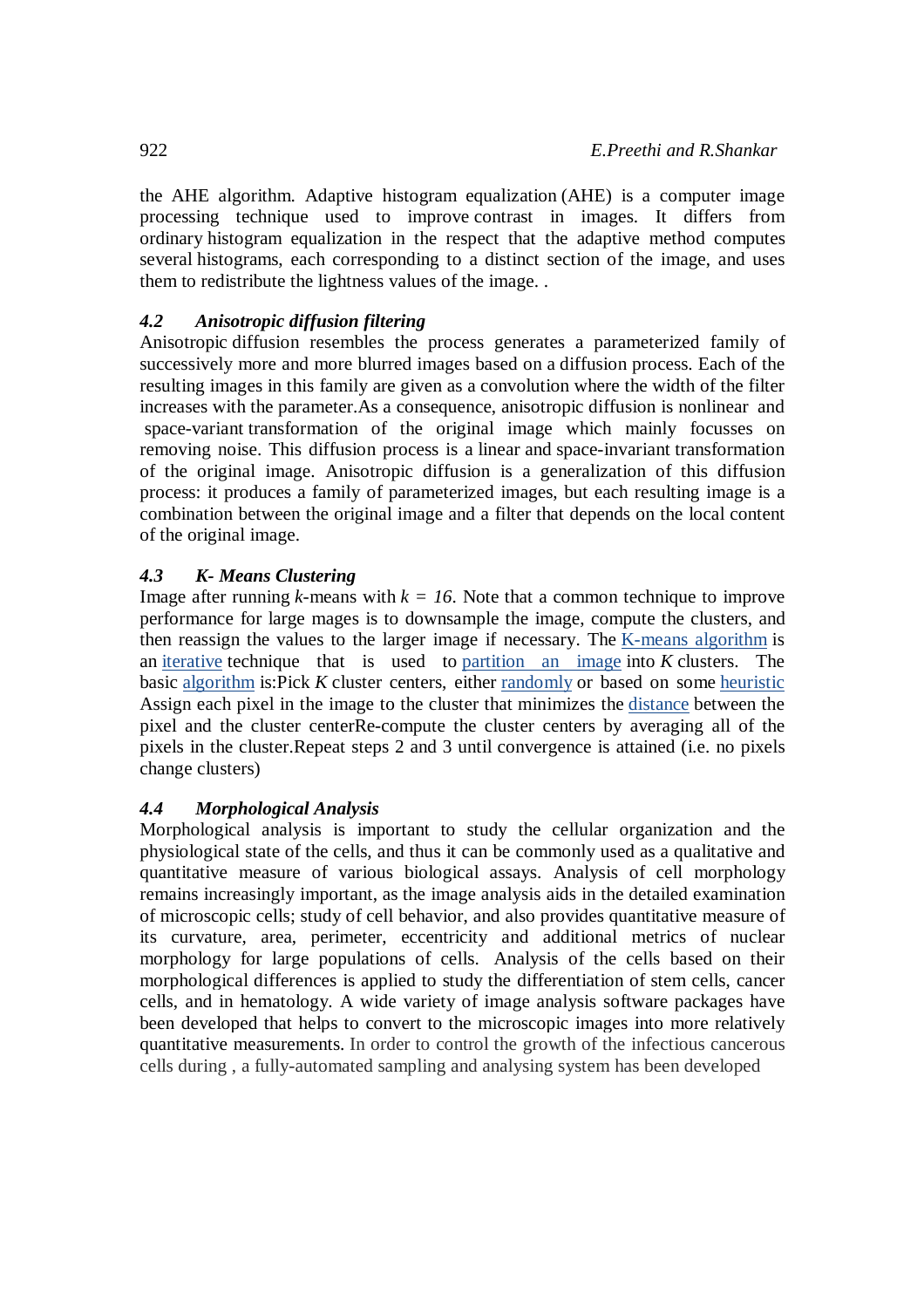the AHE algorithm. Adaptive histogram equalization (AHE) is a computer image processing technique used to improve contrast in images. It differs from ordinary histogram equalization in the respect that the adaptive method computes several histograms, each corresponding to a distinct section of the image, and uses them to redistribute the lightness values of the image. .

## *4.2 Anisotropic diffusion filtering*

Anisotropic diffusion resembles the process generates a parameterized family of successively more and more blurred images based on a diffusion process. Each of the resulting images in this family are given as a convolution where the width of the filter increases with the parameter.As a consequence, anisotropic diffusion is nonlinear and space-variant transformation of the original image which mainly focusses on removing noise. This diffusion process is a linear and space-invariant transformation of the original image. Anisotropic diffusion is a generalization of this diffusion process: it produces a family of parameterized images, but each resulting image is a combination between the original image and a filter that depends on the local content of the original image.

## *4.3 K- Means Clustering*

Image after running  $k$ -means with  $k = 16$ . Note that a common technique to improve performance for large mages is to downsample the image, compute the clusters, and then reassign the values to the larger image if necessary. The K-means algorithm is an iterative technique that is used to partition an image into *K* clusters. The basic algorithm is:Pick *K* cluster centers, either randomly or based on some heuristic Assign each pixel in the image to the cluster that minimizes the distance between the pixel and the cluster centerRe-compute the cluster centers by averaging all of the pixels in the cluster.Repeat steps 2 and 3 until convergence is attained (i.e. no pixels change clusters)

# *4.4 Morphological Analysis*

Morphological analysis is important to study the cellular organization and the physiological state of the cells, and thus it can be commonly used as a qualitative and quantitative measure of various biological assays. Analysis of cell morphology remains increasingly important, as the image analysis aids in the detailed examination of microscopic cells; study of cell behavior, and also provides quantitative measure of its curvature, area, perimeter, eccentricity and additional metrics of nuclear morphology for large populations of cells. Analysis of the cells based on their morphological differences is applied to study the differentiation of stem cells, cancer cells, and in hematology. A wide variety of image analysis software packages have been developed that helps to convert to the microscopic images into more relatively quantitative measurements. In order to control the growth of the infectious cancerous cells during , a fully-automated sampling and analysing system has been developed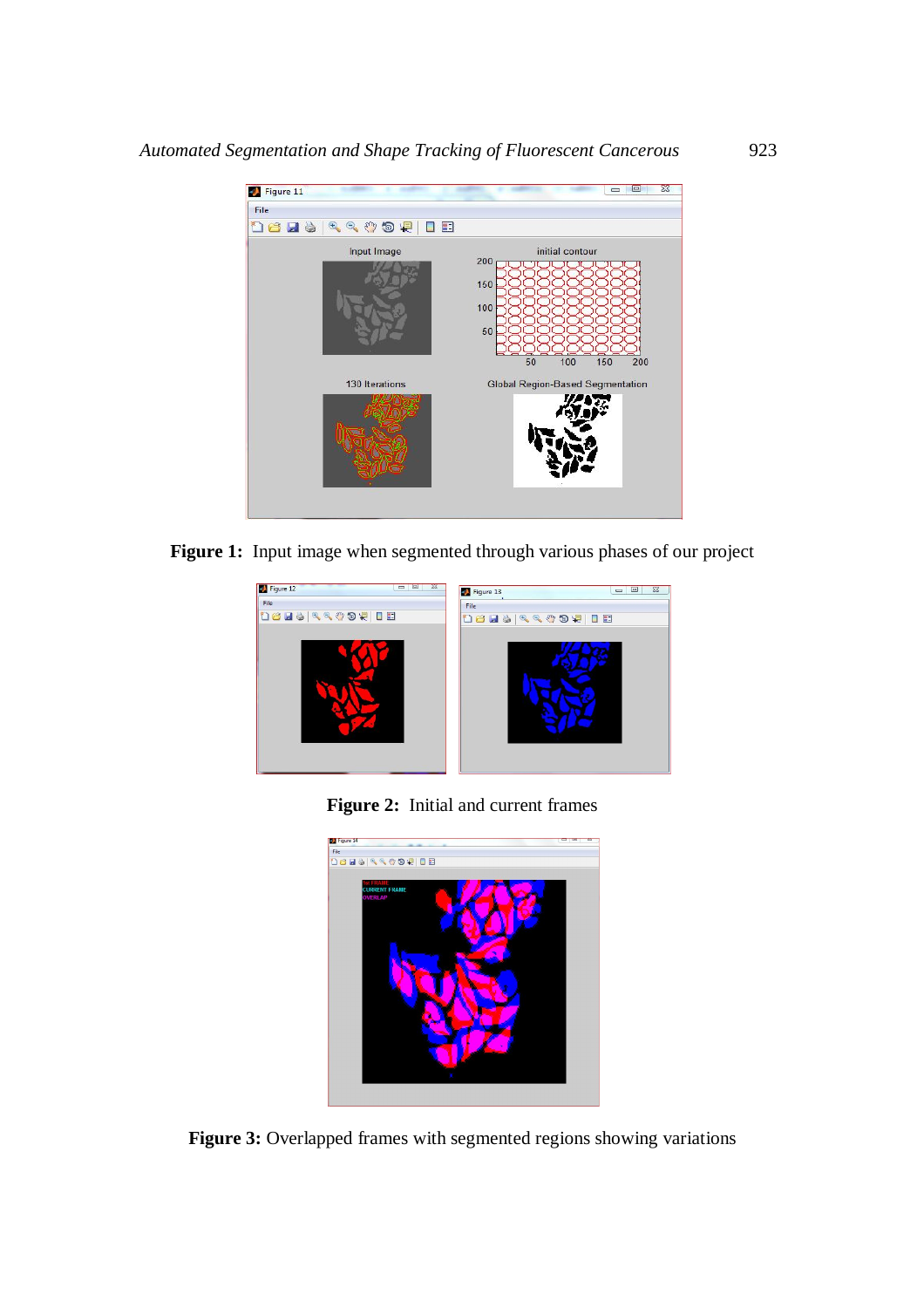

Figure 1: Input image when segmented through various phases of our project



**Figure 2:** Initial and current frames



**Figure 3:** Overlapped frames with segmented regions showing variations